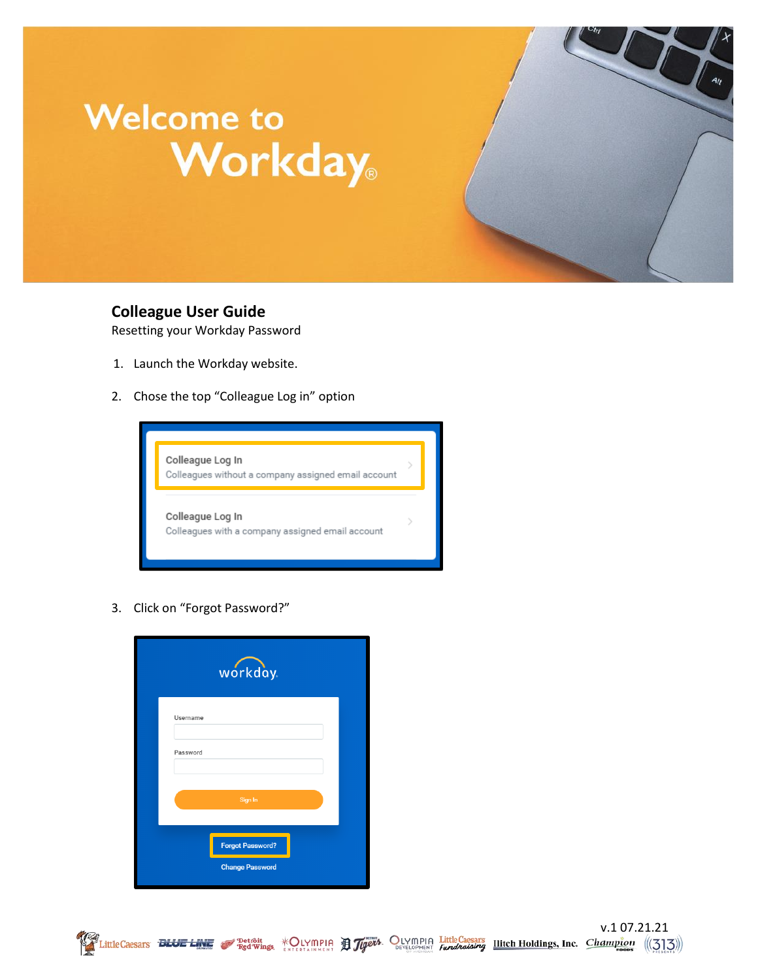## **Welcome to Workday**

**Colleague User Guide**

Resetting your Workday Password

- 1. Launch the Workday website.
- 2. Chose the top "Colleague Log in" option



3. Click on "Forgot Password?"



V.1 07.21.21<br>Exection Red Wings, KOLYMPIA Holding Little Caesars Litte Londings, Inc. Champion ((313))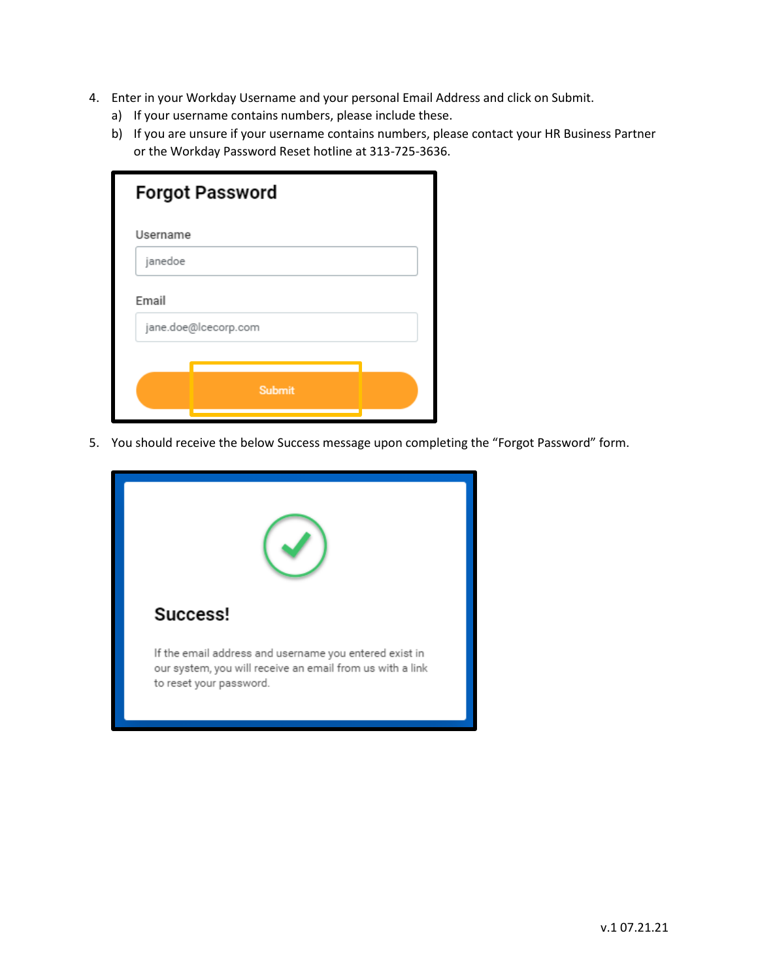- 4. Enter in your Workday Username and your personal Email Address and click on Submit.
	- a) If your username contains numbers, please include these.
	- b) If you are unsure if your username contains numbers, please contact your HR Business Partner or the Workday Password Reset hotline at 313-725-3636.

| <b>Forgot Password</b> |                      |  |  |
|------------------------|----------------------|--|--|
| Username               |                      |  |  |
| janedoe                |                      |  |  |
| Email                  |                      |  |  |
|                        | jane.doe@lcecorp.com |  |  |
|                        |                      |  |  |
|                        | <b>Submit</b>        |  |  |
|                        |                      |  |  |

5. You should receive the below Success message upon completing the "Forgot Password" form.